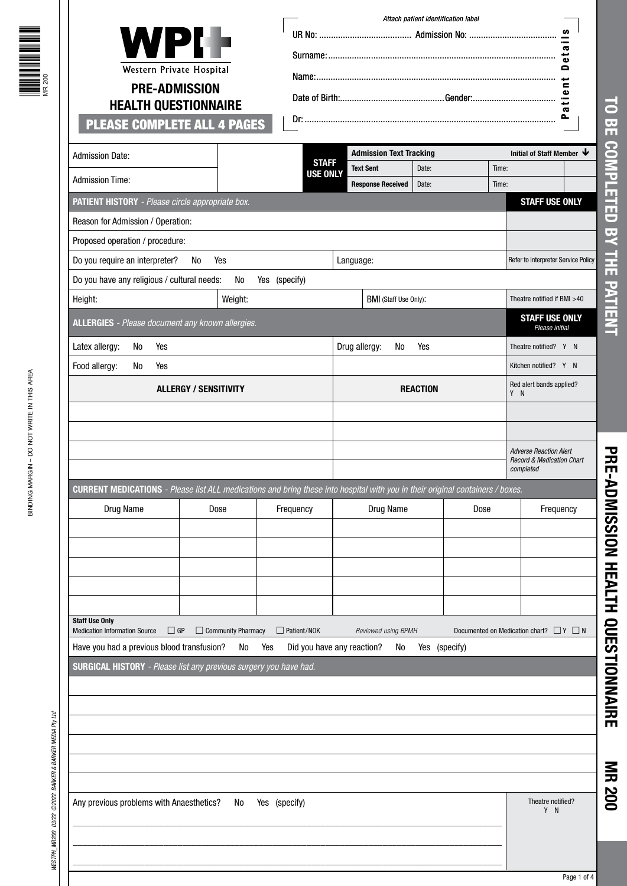| <b>PLEASE COMPLETE ALL 4 PAGES</b>                                                                                                                                                                                                  | <b>WPI-</b><br>Western Private Hospital<br><b>PRE-ADMISSION</b><br><b>HEALTH QUESTIONNAIRE</b> |                           | ဖာ<br>æ<br>سي<br>$\bullet$<br>e<br>ىپ<br>$\blacksquare$<br>$\bullet$<br>Ξ<br>$\mathbf{r}$ |               |                                 |                                                 |  |  |
|-------------------------------------------------------------------------------------------------------------------------------------------------------------------------------------------------------------------------------------|------------------------------------------------------------------------------------------------|---------------------------|-------------------------------------------------------------------------------------------|---------------|---------------------------------|-------------------------------------------------|--|--|
| <b>Admission Date:</b>                                                                                                                                                                                                              |                                                                                                | <b>STAFF</b>              | <b>Admission Text Tracking</b><br><b>Text Sent</b>                                        | Date:         | Time:                           | Initial of Staff Member $\blacklozenge$         |  |  |
| <b>Admission Time:</b>                                                                                                                                                                                                              |                                                                                                | <b>USE ONLY</b>           | <b>Response Received</b>                                                                  | Date:         | Time:                           |                                                 |  |  |
| PATIENT HISTORY - Please circle appropriate box.                                                                                                                                                                                    |                                                                                                |                           |                                                                                           |               |                                 | <b>STAFF USE ONLY</b>                           |  |  |
| Reason for Admission / Operation:                                                                                                                                                                                                   |                                                                                                |                           |                                                                                           |               |                                 |                                                 |  |  |
| Proposed operation / procedure:                                                                                                                                                                                                     |                                                                                                |                           |                                                                                           |               |                                 |                                                 |  |  |
| Do you require an interpreter?                                                                                                                                                                                                      | No<br>Yes                                                                                      |                           | Language:                                                                                 |               |                                 | Refer to Interpreter Service Policy             |  |  |
| Do you have any religious / cultural needs:                                                                                                                                                                                         | No                                                                                             | Yes (specify)             |                                                                                           |               |                                 |                                                 |  |  |
| Height:                                                                                                                                                                                                                             | Weight:                                                                                        |                           | BMI (Staff Use Only):                                                                     |               |                                 | Theatre notified if BMI >40                     |  |  |
| <b>ALLERGIES</b> - Please document any known allergies.                                                                                                                                                                             |                                                                                                |                           |                                                                                           |               |                                 | <b>STAFF USE ONLY</b><br>Please initial         |  |  |
| Latex allergy:<br>No<br>Yes                                                                                                                                                                                                         |                                                                                                |                           | Drug allergy:<br>No                                                                       | Yes           |                                 | Theatre notified? Y N                           |  |  |
| Food allergy:<br>Yes<br>No                                                                                                                                                                                                          |                                                                                                |                           |                                                                                           |               |                                 | Kitchen notified? Y N                           |  |  |
|                                                                                                                                                                                                                                     | <b>ALLERGY / SENSITIVITY</b>                                                                   |                           | <b>REACTION</b>                                                                           |               | Red alert bands applied?<br>Y N |                                                 |  |  |
| CURRENT MEDICATIONS - Please list ALL medications and bring these into hospital with you in their original containers / boxes.                                                                                                      |                                                                                                |                           |                                                                                           |               |                                 | completed                                       |  |  |
| Drug Name                                                                                                                                                                                                                           | Dose                                                                                           | Frequency                 | Drug Name                                                                                 |               | Dose                            | Frequency                                       |  |  |
|                                                                                                                                                                                                                                     |                                                                                                |                           |                                                                                           |               |                                 |                                                 |  |  |
|                                                                                                                                                                                                                                     |                                                                                                |                           |                                                                                           |               |                                 |                                                 |  |  |
|                                                                                                                                                                                                                                     |                                                                                                |                           |                                                                                           |               |                                 |                                                 |  |  |
|                                                                                                                                                                                                                                     |                                                                                                |                           |                                                                                           |               |                                 |                                                 |  |  |
|                                                                                                                                                                                                                                     |                                                                                                |                           |                                                                                           |               |                                 |                                                 |  |  |
|                                                                                                                                                                                                                                     | $\Box$ GP<br>$\Box$ Community Pharmacy<br>No                                                   | $\Box$ Patient/NOK<br>Yes | Reviewed using BPMH<br>Did you have any reaction?<br>No                                   | Yes (specify) |                                 | Documented on Medication chart? $\Box Y \Box N$ |  |  |
|                                                                                                                                                                                                                                     |                                                                                                |                           |                                                                                           |               |                                 |                                                 |  |  |
|                                                                                                                                                                                                                                     |                                                                                                |                           |                                                                                           |               |                                 |                                                 |  |  |
|                                                                                                                                                                                                                                     |                                                                                                |                           |                                                                                           |               |                                 |                                                 |  |  |
|                                                                                                                                                                                                                                     |                                                                                                |                           |                                                                                           |               |                                 |                                                 |  |  |
|                                                                                                                                                                                                                                     |                                                                                                |                           |                                                                                           |               |                                 |                                                 |  |  |
|                                                                                                                                                                                                                                     |                                                                                                |                           |                                                                                           |               |                                 |                                                 |  |  |
|                                                                                                                                                                                                                                     | No                                                                                             | Yes (specify)             |                                                                                           |               |                                 | Theatre notified?<br>Y N                        |  |  |
| <b>Staff Use Only</b><br><b>Medication Information Source</b><br>Have you had a previous blood transfusion?<br><b>SURGICAL HISTORY</b> - Please list any previous surgery you have had.<br>Any previous problems with Anaesthetics? |                                                                                                |                           |                                                                                           |               |                                 |                                                 |  |  |

**PRE-ADMISSION HEALTH QUESTIONNAIRE**

PRE-ADMISSION HEALTH QUESTIONNAIRE

**MR 200**

**FRANCIS MENTE** 

Page 1 of 4  $\vert$ Page 1 of 4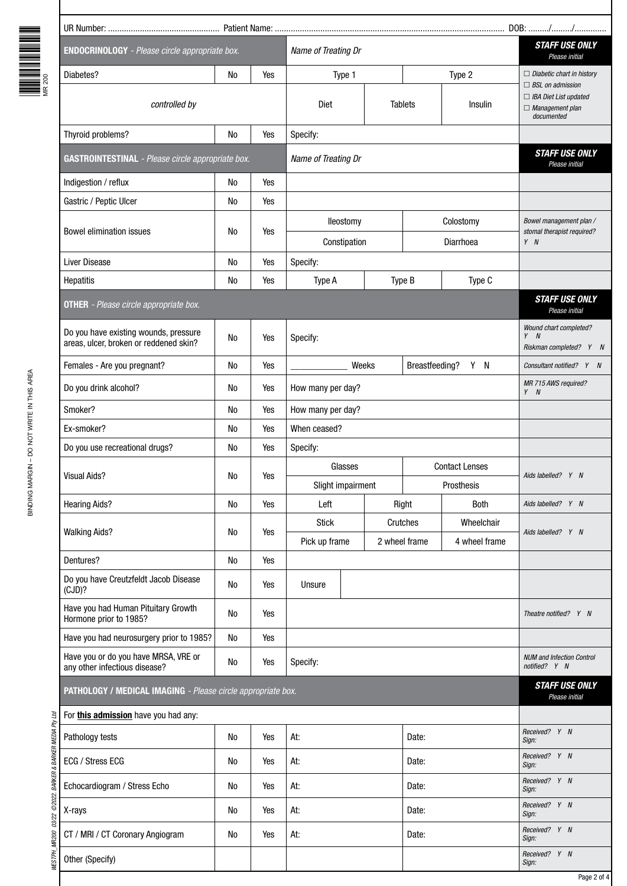| ╸ | è |
|---|---|

| <b>ENDOCRINOLOGY</b> - Please circle appropriate box.                 |                     |          | Name of Treating Dr    |               |                                         |                        | <b>STAFF USE ONLY</b><br>Please initial                                                         |  |
|-----------------------------------------------------------------------|---------------------|----------|------------------------|---------------|-----------------------------------------|------------------------|-------------------------------------------------------------------------------------------------|--|
| Diabetes?                                                             | No                  | Yes      | Type 1                 |               |                                         | Type 2                 | $\Box$ Diabetic chart in history                                                                |  |
| controlled by                                                         |                     |          | Diet<br><b>Tablets</b> |               | Insulin                                 |                        | $\Box$ BSL on admission<br>$\Box$ IBA Diet List updated<br>$\Box$ Management plan<br>documented |  |
| Thyroid problems?                                                     | Yes                 | Specify: |                        |               |                                         |                        |                                                                                                 |  |
| <b>GASTROINTESTINAL</b> - Please circle appropriate box.              | Name of Treating Dr |          |                        |               | <b>STAFF USE ONLY</b><br>Please initial |                        |                                                                                                 |  |
| Indigestion / reflux                                                  | No                  | Yes      |                        |               |                                         |                        |                                                                                                 |  |
| Gastric / Peptic Ulcer                                                | No                  | Yes      |                        |               |                                         |                        |                                                                                                 |  |
| <b>Bowel elimination issues</b>                                       | No                  | Yes      | lleostomy              |               |                                         | Colostomy              | Bowel management plan /<br>stomal therapist required?                                           |  |
|                                                                       |                     |          | Constipation           |               |                                         | Diarrhoea              | $Y$ $N$                                                                                         |  |
| Liver Disease                                                         | No                  | Yes      | Specify:               |               |                                         |                        |                                                                                                 |  |
| <b>Hepatitis</b>                                                      | No                  | Yes      | Type A                 |               | Type B                                  | Type C                 |                                                                                                 |  |
| <b>OTHER</b> - Please circle appropriate box.                         |                     |          |                        |               |                                         |                        | <b>STAFF USE ONLY</b><br>Please initial                                                         |  |
| Do you have existing wounds, pressure                                 | No                  | Yes      | Specify:               |               |                                         |                        | Wound chart completed?<br>$Y$ $N$                                                               |  |
| areas, ulcer, broken or reddened skin?                                |                     |          |                        |               |                                         |                        | Riskman completed? Y N                                                                          |  |
| Females - Are you pregnant?                                           | No                  | Yes      |                        | Weeks         | Breastfeeding?                          | Y N                    | Consultant notified? Y N                                                                        |  |
| Do you drink alcohol?                                                 | No                  | Yes      | How many per day?      |               |                                         |                        | MR 715 AWS required?<br>$Y$ $N$                                                                 |  |
| Smoker?                                                               | No                  | Yes      | How many per day?      |               |                                         |                        |                                                                                                 |  |
| Ex-smoker?                                                            | No                  | Yes      | When ceased?           |               |                                         |                        |                                                                                                 |  |
| Do you use recreational drugs?                                        | No                  | Yes      | Specify:               |               |                                         |                        |                                                                                                 |  |
| <b>Visual Aids?</b>                                                   | No                  | Yes      | Glasses                |               |                                         | <b>Contact Lenses</b>  | Aids labelled? Y N                                                                              |  |
|                                                                       |                     |          | Slight impairment      |               |                                         | Prosthesis             |                                                                                                 |  |
| <b>Hearing Aids?</b>                                                  | N <sub>0</sub>      | Yes      | Left                   |               | Both<br>Right                           |                        | Aids labelled? Y N                                                                              |  |
| <b>Walking Aids?</b>                                                  | No                  | Yes      | <b>Stick</b>           |               | Crutches                                | Wheelchair             | Aids labelled? Y N                                                                              |  |
|                                                                       |                     |          | Pick up frame          | 2 wheel frame |                                         | 4 wheel frame          |                                                                                                 |  |
| Dentures?                                                             | <b>No</b>           | Yes      |                        |               |                                         |                        |                                                                                                 |  |
| Do you have Creutzfeldt Jacob Disease<br>(CJD)?                       | No                  | Yes      | Unsure                 |               |                                         |                        |                                                                                                 |  |
| Have you had Human Pituitary Growth<br>Hormone prior to 1985?         | No                  | Yes      |                        |               |                                         |                        | Theatre notified? Y N                                                                           |  |
| Have you had neurosurgery prior to 1985?                              | No                  | Yes      |                        |               |                                         |                        |                                                                                                 |  |
| Have you or do you have MRSA, VRE or<br>any other infectious disease? | No                  | Yes      | Specify:               |               |                                         |                        | <b>NUM and Infection Control</b><br>notified? Y N                                               |  |
| PATHOLOGY / MEDICAL IMAGING - Please circle appropriate box.          |                     |          |                        |               |                                         |                        | <b>STAFF USE ONLY</b><br>Please initial                                                         |  |
| For this admission have you had any:                                  |                     |          |                        |               |                                         |                        |                                                                                                 |  |
| Pathology tests                                                       | No                  | Yes      | At:                    |               | Date:                                   |                        | Received? Y N<br>Sign:                                                                          |  |
| ECG / Stress ECG                                                      | No                  | Yes      | At:                    |               | Date:                                   |                        | Received? Y N<br>Sign:                                                                          |  |
| Echocardiogram / Stress Echo                                          | No                  | Yes      | Date:<br>At:           |               |                                         | Received? Y N<br>Sign: |                                                                                                 |  |
| X-rays                                                                | No                  | Yes      | At:<br>Date:           |               |                                         |                        | Received? Y N<br>Sign:                                                                          |  |
| CT / MRI / CT Coronary Angiogram                                      | No                  | Yes      | At:                    |               | Date:                                   |                        | Received? Y N<br>Sign:                                                                          |  |
| Other (Specify)                                                       |                     |          |                        |               |                                         |                        | Received? Y N<br>Sign:                                                                          |  |
|                                                                       |                     |          |                        |               |                                         |                        | Page 2 of 4                                                                                     |  |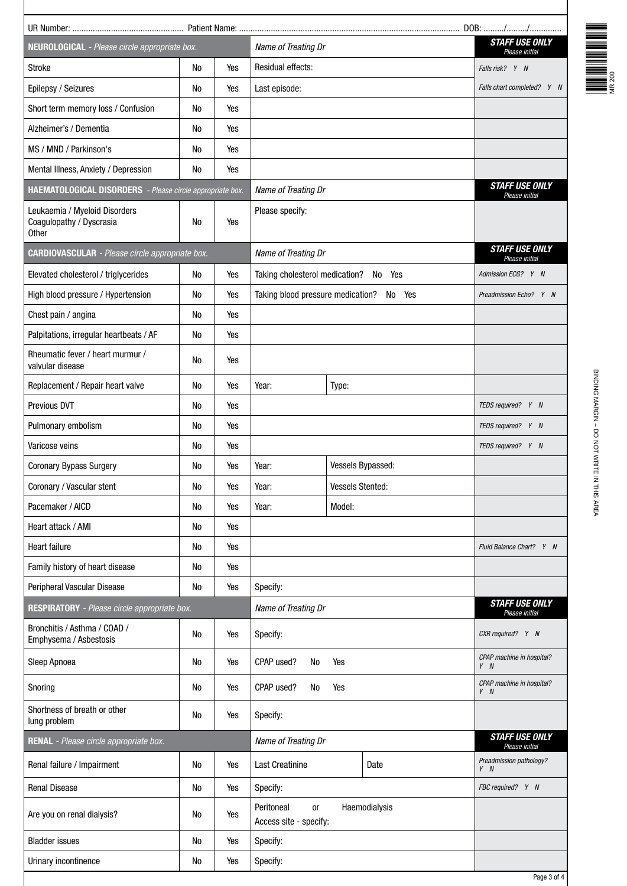| Name of Treating Dr<br>NEUROLOGICAL - Please circle appropriate box. |                                                                                                        |                                                                  |                     |                                      | <b>STAFF USE ONLY</b><br>Please initial                                                            |
|----------------------------------------------------------------------|--------------------------------------------------------------------------------------------------------|------------------------------------------------------------------|---------------------|--------------------------------------|----------------------------------------------------------------------------------------------------|
| No                                                                   | Yes                                                                                                    | Residual effects:                                                | Falls risk? Y N     |                                      |                                                                                                    |
| <b>No</b>                                                            | Yes                                                                                                    | Last episode:                                                    |                     |                                      | Falls chart completed? Y N                                                                         |
| No                                                                   | Yes                                                                                                    |                                                                  |                     |                                      |                                                                                                    |
| <b>No</b>                                                            | Yes                                                                                                    |                                                                  |                     |                                      |                                                                                                    |
| <b>No</b>                                                            | Yes                                                                                                    |                                                                  |                     |                                      |                                                                                                    |
| <b>No</b>                                                            | Yes                                                                                                    |                                                                  |                     |                                      |                                                                                                    |
|                                                                      |                                                                                                        | Name of Treating Dr                                              |                     |                                      | <b>STAFF USE ONLY</b><br>Please initial                                                            |
| <b>No</b>                                                            | Yes                                                                                                    | Please specify:                                                  |                     |                                      |                                                                                                    |
|                                                                      |                                                                                                        | Name of Treating Dr                                              |                     |                                      | <b>STAFF USE ONLY</b><br>Please initial                                                            |
| No                                                                   | Yes                                                                                                    |                                                                  |                     |                                      | Admission ECG? Y N                                                                                 |
| No                                                                   | Yes                                                                                                    |                                                                  |                     |                                      | Preadmission Echo? Y N                                                                             |
| <b>No</b>                                                            | Yes                                                                                                    |                                                                  |                     |                                      |                                                                                                    |
| <b>No</b>                                                            | Yes                                                                                                    |                                                                  |                     |                                      |                                                                                                    |
| No                                                                   | Yes                                                                                                    |                                                                  |                     |                                      |                                                                                                    |
| No                                                                   | Yes                                                                                                    | Year:                                                            |                     |                                      |                                                                                                    |
| <b>No</b>                                                            | Yes                                                                                                    |                                                                  |                     |                                      | TEDS required? Y N                                                                                 |
| No                                                                   | Yes                                                                                                    |                                                                  |                     |                                      | TEDS required? Y N                                                                                 |
| No                                                                   | Yes                                                                                                    |                                                                  |                     |                                      | TEDS required? Y N                                                                                 |
| No                                                                   | Yes                                                                                                    | Year:                                                            | Vessels Bypassed:   |                                      |                                                                                                    |
| No                                                                   | Yes                                                                                                    | Year:                                                            | Vessels Stented:    |                                      |                                                                                                    |
| No                                                                   | Yes                                                                                                    | Year:                                                            | Model:              |                                      |                                                                                                    |
| No                                                                   | Yes                                                                                                    |                                                                  |                     |                                      |                                                                                                    |
| No                                                                   | Yes                                                                                                    |                                                                  |                     |                                      | Fluid Balance Chart? Y N                                                                           |
| No                                                                   | Yes                                                                                                    |                                                                  |                     |                                      |                                                                                                    |
| No                                                                   | Yes                                                                                                    | Specify:                                                         |                     |                                      |                                                                                                    |
|                                                                      |                                                                                                        | Name of Treating Dr                                              |                     |                                      | <b>STAFF USE ONLY</b><br>Please initial                                                            |
| No                                                                   | Yes                                                                                                    | Specify:                                                         |                     | CXR required? Y N                    |                                                                                                    |
| No                                                                   | Yes                                                                                                    | CPAP used?<br>No<br>Yes                                          |                     | CPAP machine in hospital?<br>$Y$ $N$ |                                                                                                    |
| No                                                                   | Yes                                                                                                    | CPAP used?<br>No<br>Yes                                          |                     |                                      | CPAP machine in hospital?<br>$Y$ $N$                                                               |
| No                                                                   | Yes                                                                                                    | Specify:                                                         |                     |                                      | <b>STAFF USE ONLY</b>                                                                              |
| RENAL - Please circle appropriate box.                               |                                                                                                        |                                                                  | Name of Treating Dr |                                      |                                                                                                    |
| No                                                                   | Yes                                                                                                    | <b>Last Creatinine</b>                                           |                     | Date                                 | Preadmission pathology?<br>$Y$ $N$                                                                 |
| No                                                                   | Yes                                                                                                    | Specify:                                                         |                     |                                      | FBC required? Y N                                                                                  |
| No                                                                   | Yes                                                                                                    | Peritoneal<br><b>or</b><br>Access site - specify:                |                     |                                      |                                                                                                    |
| No                                                                   | Yes                                                                                                    | Specify:                                                         |                     |                                      |                                                                                                    |
|                                                                      | <b>CARDIOVASCULAR</b> - Please circle appropriate box.<br>RESPIRATORY - Please circle appropriate box. | <b>HAEMATOLOGICAL DISORDERS</b> - Please circle appropriate box. |                     | Type:                                | Taking cholesterol medication? No Yes<br>Taking blood pressure medication? No Yes<br>Haemodialysis |



age  $3$  of  $4$